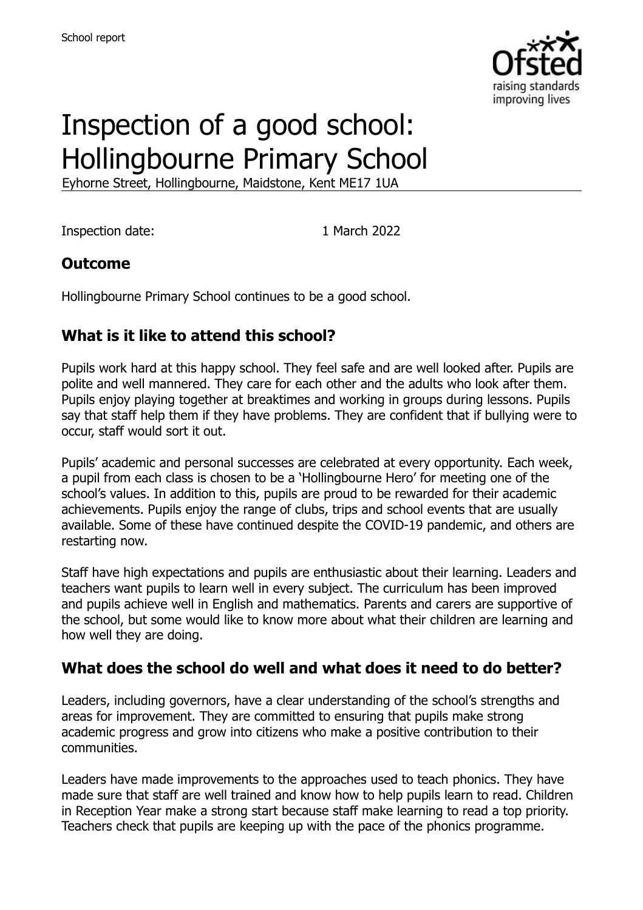

# Inspection of a good school: Hollingbourne Primary School

Eyhorne Street, Hollingbourne, Maidstone, Kent ME17 1UA

Inspection date: 1 March 2022

### **Outcome**

Hollingbourne Primary School continues to be a good school.

# **What is it like to attend this school?**

Pupils work hard at this happy school. They feel safe and are well looked after. Pupils are polite and well mannered. They care for each other and the adults who look after them. Pupils enjoy playing together at breaktimes and working in groups during lessons. Pupils say that staff help them if they have problems. They are confident that if bullying were to occur, staff would sort it out.

Pupils' academic and personal successes are celebrated at every opportunity. Each week, a pupil from each class is chosen to be a 'Hollingbourne Hero' for meeting one of the school's values. In addition to this, pupils are proud to be rewarded for their academic achievements. Pupils enjoy the range of clubs, trips and school events that are usually available. Some of these have continued despite the COVID-19 pandemic, and others are restarting now.

Staff have high expectations and pupils are enthusiastic about their learning. Leaders and teachers want pupils to learn well in every subject. The curriculum has been improved and pupils achieve well in English and mathematics. Parents and carers are supportive of the school, but some would like to know more about what their children are learning and how well they are doing.

# **What does the school do well and what does it need to do better?**

Leaders, including governors, have a clear understanding of the school's strengths and areas for improvement. They are committed to ensuring that pupils make strong academic progress and grow into citizens who make a positive contribution to their communities.

Leaders have made improvements to the approaches used to teach phonics. They have made sure that staff are well trained and know how to help pupils learn to read. Children in Reception Year make a strong start because staff make learning to read a top priority. Teachers check that pupils are keeping up with the pace of the phonics programme.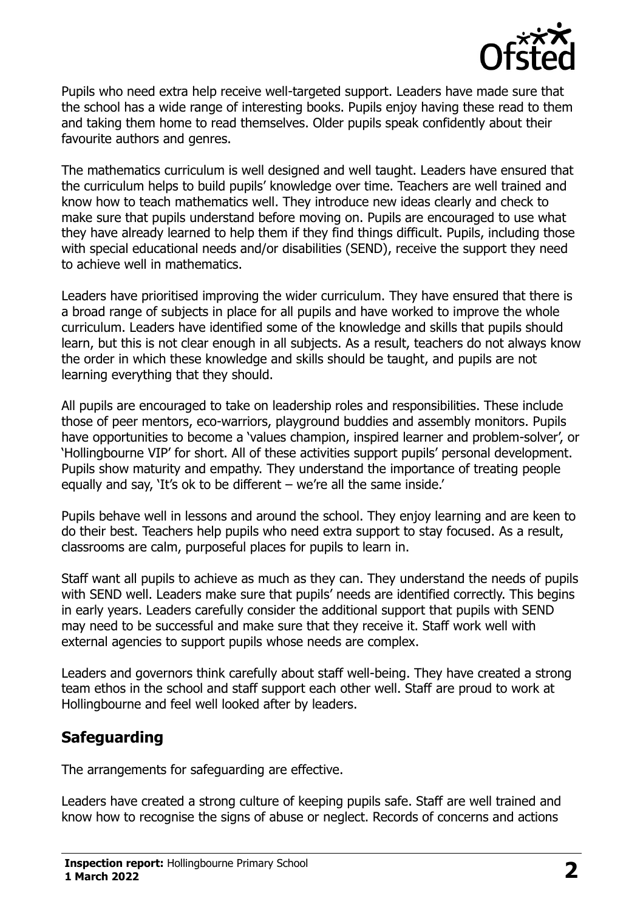

Pupils who need extra help receive well-targeted support. Leaders have made sure that the school has a wide range of interesting books. Pupils enjoy having these read to them and taking them home to read themselves. Older pupils speak confidently about their favourite authors and genres.

The mathematics curriculum is well designed and well taught. Leaders have ensured that the curriculum helps to build pupils' knowledge over time. Teachers are well trained and know how to teach mathematics well. They introduce new ideas clearly and check to make sure that pupils understand before moving on. Pupils are encouraged to use what they have already learned to help them if they find things difficult. Pupils, including those with special educational needs and/or disabilities (SEND), receive the support they need to achieve well in mathematics.

Leaders have prioritised improving the wider curriculum. They have ensured that there is a broad range of subjects in place for all pupils and have worked to improve the whole curriculum. Leaders have identified some of the knowledge and skills that pupils should learn, but this is not clear enough in all subjects. As a result, teachers do not always know the order in which these knowledge and skills should be taught, and pupils are not learning everything that they should.

All pupils are encouraged to take on leadership roles and responsibilities. These include those of peer mentors, eco-warriors, playground buddies and assembly monitors. Pupils have opportunities to become a 'values champion, inspired learner and problem-solver', or 'Hollingbourne VIP' for short. All of these activities support pupils' personal development. Pupils show maturity and empathy. They understand the importance of treating people equally and say, 'It's ok to be different – we're all the same inside.'

Pupils behave well in lessons and around the school. They enjoy learning and are keen to do their best. Teachers help pupils who need extra support to stay focused. As a result, classrooms are calm, purposeful places for pupils to learn in.

Staff want all pupils to achieve as much as they can. They understand the needs of pupils with SEND well. Leaders make sure that pupils' needs are identified correctly. This begins in early years. Leaders carefully consider the additional support that pupils with SEND may need to be successful and make sure that they receive it. Staff work well with external agencies to support pupils whose needs are complex.

Leaders and governors think carefully about staff well-being. They have created a strong team ethos in the school and staff support each other well. Staff are proud to work at Hollingbourne and feel well looked after by leaders.

# **Safeguarding**

The arrangements for safeguarding are effective.

Leaders have created a strong culture of keeping pupils safe. Staff are well trained and know how to recognise the signs of abuse or neglect. Records of concerns and actions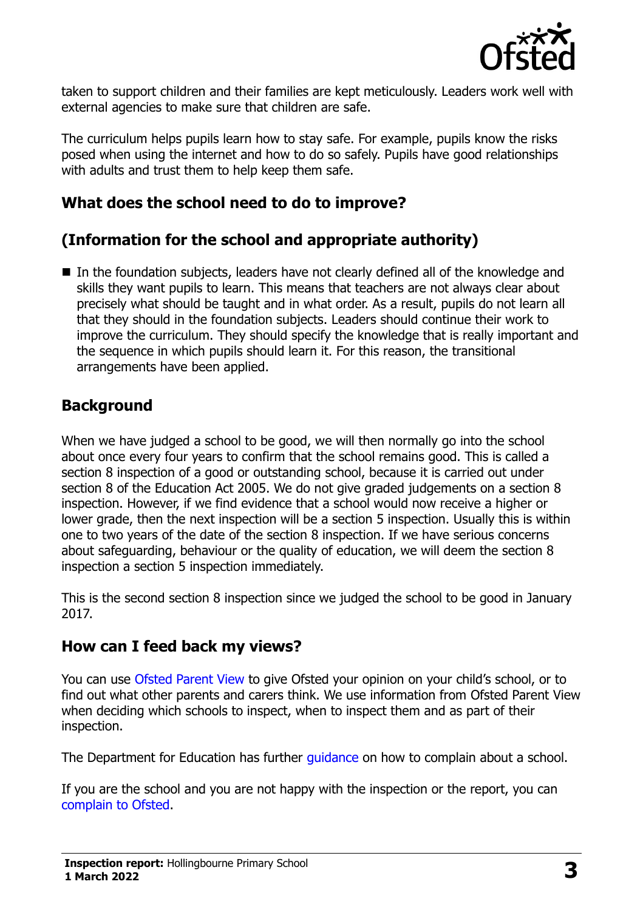

taken to support children and their families are kept meticulously. Leaders work well with external agencies to make sure that children are safe.

The curriculum helps pupils learn how to stay safe. For example, pupils know the risks posed when using the internet and how to do so safely. Pupils have good relationships with adults and trust them to help keep them safe.

#### **What does the school need to do to improve?**

# **(Information for the school and appropriate authority)**

■ In the foundation subjects, leaders have not clearly defined all of the knowledge and skills they want pupils to learn. This means that teachers are not always clear about precisely what should be taught and in what order. As a result, pupils do not learn all that they should in the foundation subjects. Leaders should continue their work to improve the curriculum. They should specify the knowledge that is really important and the sequence in which pupils should learn it. For this reason, the transitional arrangements have been applied.

### **Background**

When we have judged a school to be good, we will then normally go into the school about once every four years to confirm that the school remains good. This is called a section 8 inspection of a good or outstanding school, because it is carried out under section 8 of the Education Act 2005. We do not give graded judgements on a section 8 inspection. However, if we find evidence that a school would now receive a higher or lower grade, then the next inspection will be a section 5 inspection. Usually this is within one to two years of the date of the section 8 inspection. If we have serious concerns about safeguarding, behaviour or the quality of education, we will deem the section 8 inspection a section 5 inspection immediately.

This is the second section 8 inspection since we judged the school to be good in January 2017.

#### **How can I feed back my views?**

You can use [Ofsted Parent View](https://parentview.ofsted.gov.uk/) to give Ofsted your opinion on your child's school, or to find out what other parents and carers think. We use information from Ofsted Parent View when deciding which schools to inspect, when to inspect them and as part of their inspection.

The Department for Education has further quidance on how to complain about a school.

If you are the school and you are not happy with the inspection or the report, you can [complain to Ofsted.](https://www.gov.uk/complain-ofsted-report)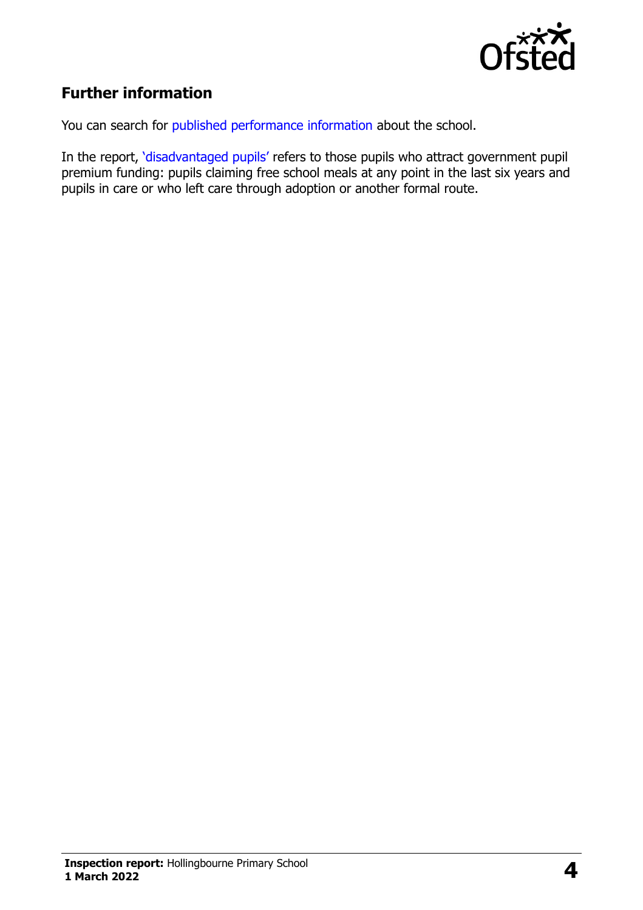

# **Further information**

You can search for [published performance information](http://www.compare-school-performance.service.gov.uk/) about the school.

In the report, '[disadvantaged pupils](http://www.gov.uk/guidance/pupil-premium-information-for-schools-and-alternative-provision-settings)' refers to those pupils who attract government pupil premium funding: pupils claiming free school meals at any point in the last six years and pupils in care or who left care through adoption or another formal route.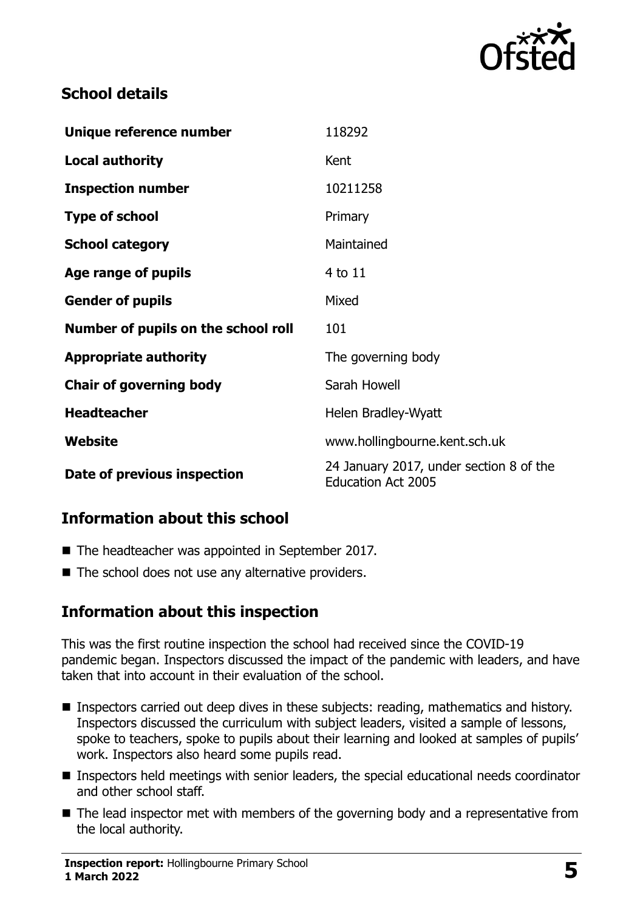

## **School details**

| Unique reference number             | 118292                                                               |
|-------------------------------------|----------------------------------------------------------------------|
| <b>Local authority</b>              | Kent                                                                 |
| <b>Inspection number</b>            | 10211258                                                             |
| <b>Type of school</b>               | Primary                                                              |
| <b>School category</b>              | Maintained                                                           |
| Age range of pupils                 | 4 to 11                                                              |
| <b>Gender of pupils</b>             | Mixed                                                                |
| Number of pupils on the school roll | 101                                                                  |
| <b>Appropriate authority</b>        | The governing body                                                   |
| <b>Chair of governing body</b>      | Sarah Howell                                                         |
| <b>Headteacher</b>                  | Helen Bradley-Wyatt                                                  |
| <b>Website</b>                      | www.hollingbourne.kent.sch.uk                                        |
| Date of previous inspection         | 24 January 2017, under section 8 of the<br><b>Education Act 2005</b> |

# **Information about this school**

- The headteacher was appointed in September 2017.
- $\blacksquare$  The school does not use any alternative providers.

#### **Information about this inspection**

This was the first routine inspection the school had received since the COVID-19 pandemic began. Inspectors discussed the impact of the pandemic with leaders, and have taken that into account in their evaluation of the school.

- **Inspectors carried out deep dives in these subjects: reading, mathematics and history.** Inspectors discussed the curriculum with subject leaders, visited a sample of lessons, spoke to teachers, spoke to pupils about their learning and looked at samples of pupils' work. Inspectors also heard some pupils read.
- **Inspectors held meetings with senior leaders, the special educational needs coordinator** and other school staff.
- The lead inspector met with members of the governing body and a representative from the local authority.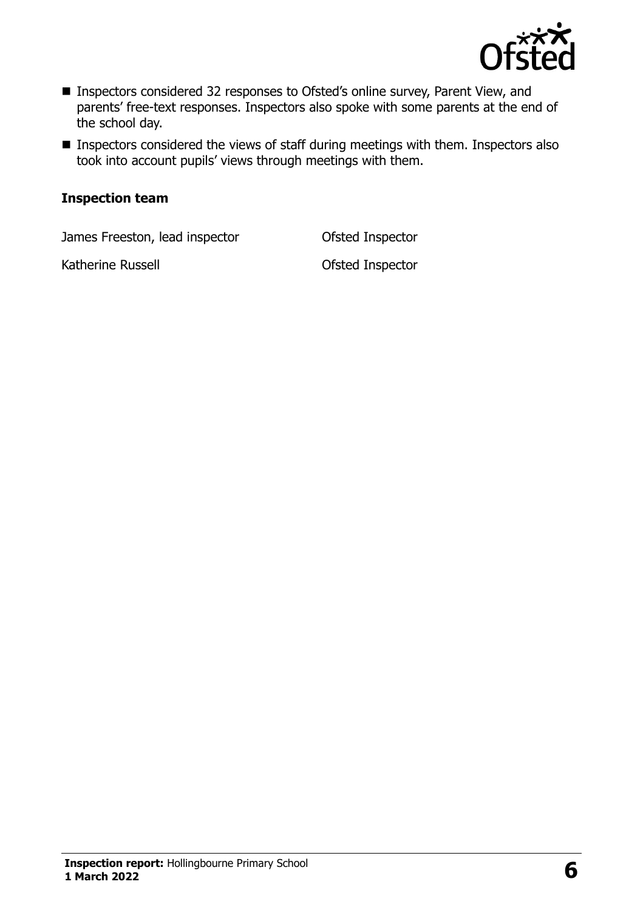

- Inspectors considered 32 responses to Ofsted's online survey, Parent View, and parents' free-text responses. Inspectors also spoke with some parents at the end of the school day.
- **Inspectors considered the views of staff during meetings with them. Inspectors also** took into account pupils' views through meetings with them.

#### **Inspection team**

James Freeston, lead inspector **Ofsted Inspector** 

Katherine Russell **Katherine Russell Conserverse Conserverse Conserverse Conserverse Conserverse Conserverse Conserverse Conserverse Conserverse Conserverse Conserverse Conserverse Conserverse Conserverse Conserverse Con**